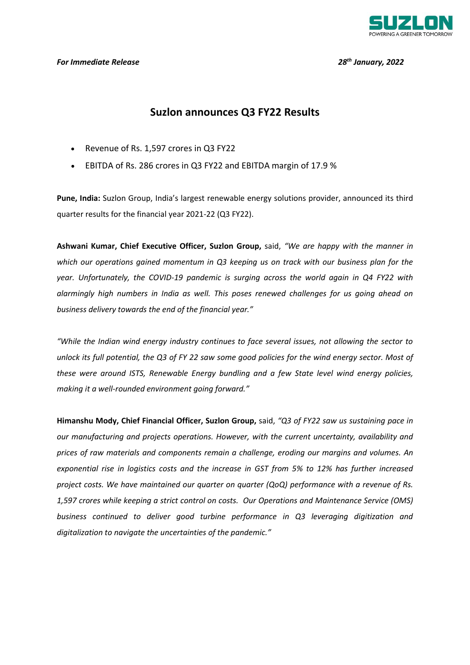

#### *For Immediate Release 28th January, 2022*

# **Suzlon announces Q3 FY22 Results**

- Revenue of Rs. 1,597 crores in Q3 FY22
- EBITDA of Rs. 286 crores in Q3 FY22 and EBITDA margin of 17.9 %

**Pune, India:** Suzlon Group, India's largest renewable energy solutions provider, announced its third quarter results for the financial year 2021-22 (Q3 FY22).

**Ashwani Kumar, Chief Executive Officer, Suzlon Group,** said, *"We are happy with the manner in which our operations gained momentum in Q3 keeping us on track with our business plan for the year. Unfortunately, the COVID-19 pandemic is surging across the world again in Q4 FY22 with alarmingly high numbers in India as well. This poses renewed challenges for us going ahead on business delivery towards the end of the financial year."*

*"While the Indian wind energy industry continues to face several issues, not allowing the sector to unlock its full potential, the Q3 of FY 22 saw some good policies for the wind energy sector. Most of these were around ISTS, Renewable Energy bundling and a few State level wind energy policies, making it a well-rounded environment going forward."*

**Himanshu Mody, Chief Financial Officer, Suzlon Group,** said, *"Q3 of FY22 saw us sustaining pace in our manufacturing and projects operations. However, with the current uncertainty, availability and prices of raw materials and components remain a challenge, eroding our margins and volumes. An exponential rise in logistics costs and the increase in GST from 5% to 12% has further increased project costs. We have maintained our quarter on quarter (QoQ) performance with a revenue of Rs. 1,597 crores while keeping a strict control on costs. Our Operations and Maintenance Service (OMS) business continued to deliver good turbine performance in Q3 leveraging digitization and digitalization to navigate the uncertainties of the pandemic."*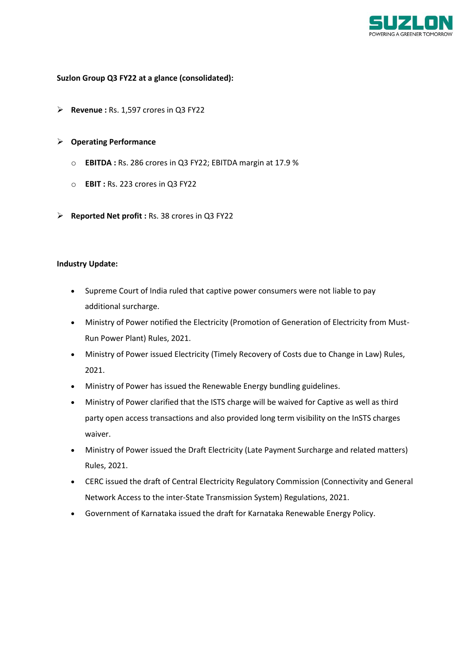

## **Suzlon Group Q3 FY22 at a glance (consolidated):**

**Revenue :** Rs. 1,597 crores in Q3 FY22

## **Operating Performance**

- o **EBITDA :** Rs. 286 crores in Q3 FY22; EBITDA margin at 17.9 %
- o **EBIT :** Rs. 223 crores in Q3 FY22
- **Reported Net profit :** Rs. 38 crores in Q3 FY22

#### **Industry Update:**

- Supreme Court of India ruled that captive power consumers were not liable to pay additional surcharge.
- Ministry of Power notified the Electricity (Promotion of Generation of Electricity from Must-Run Power Plant) Rules, 2021.
- Ministry of Power issued Electricity (Timely Recovery of Costs due to Change in Law) Rules, 2021.
- Ministry of Power has issued the Renewable Energy bundling guidelines.
- Ministry of Power clarified that the ISTS charge will be waived for Captive as well as third party open access transactions and also provided long term visibility on the InSTS charges waiver.
- Ministry of Power issued the Draft Electricity (Late Payment Surcharge and related matters) Rules, 2021.
- CERC issued the draft of Central Electricity Regulatory Commission (Connectivity and General Network Access to the inter-State Transmission System) Regulations, 2021.
- Government of Karnataka issued the draft for Karnataka Renewable Energy Policy.